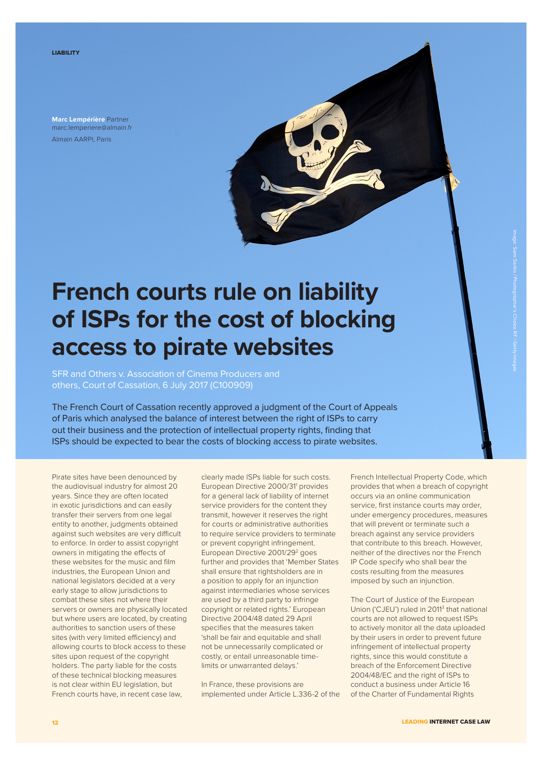**Marc Lempérière** Partner marc.lemperiere@almain.fr Almain AARPI, Paris

## **French courts rule on liability of ISPs for the cost of blocking access to pirate websites**

SFR and Others v. Association of Cinema Producers and others, Court of Cassation, 6 July 2017 (C100909)

The French Court of Cassation recently approved a judgment of the Court of Appeals of Paris which analysed the balance of interest between the right of ISPs to carry out their business and the protection of intellectual property rights, finding that ISPs should be expected to bear the costs of blocking access to pirate websites.

Pirate sites have been denounced by the audiovisual industry for almost 20 years. Since they are often located in exotic jurisdictions and can easily transfer their servers from one legal entity to another, judgments obtained against such websites are very difficult to enforce. In order to assist copyright owners in mitigating the efects of these websites for the music and film industries, the European Union and national legislators decided at a very early stage to allow jurisdictions to combat these sites not where their servers or owners are physically located but where users are located, by creating authorities to sanction users of these sites (with very limited efficiency) and allowing courts to block access to these sites upon request of the copyright holders. The party liable for the costs of these technical blocking measures is not clear within EU legislation, but French courts have, in recent case law,

clearly made ISPs liable for such costs. European Directive 2000/31<sup>1</sup> provides for a general lack of liability of internet service providers for the content they transmit, however it reserves the right for courts or administrative authorities to require service providers to terminate or prevent copyright infringement. European Directive 2001/29<sup>2</sup> goes further and provides that 'Member States shall ensure that rightsholders are in a position to apply for an injunction against intermediaries whose services are used by a third party to infringe copyright or related rights.' European Directive 2004/48 dated 29 April specifies that the measures taken 'shall be fair and equitable and shall not be unnecessarily complicated or costly, or entail unreasonable timelimits or unwarranted delays.'

In France, these provisions are implemented under Article L.336-2 of the French Intellectual Property Code, which provides that when a breach of copyright occurs via an online communication service, first instance courts may order, under emergency procedures, measures that will prevent or terminate such a breach against any service providers that contribute to this breach. However, neither of the directives nor the French IP Code specify who shall bear the costs resulting from the measures imposed by such an injunction.

The Court of Justice of the European Union ('CJEU') ruled in 2011<sup>3</sup> that national courts are not allowed to request ISPs to actively monitor all the data uploaded by their users in order to prevent future infringement of intellectual property rights, since this would constitute a breach of the Enforcement Directive 2004/48/EC and the right of ISPs to conduct a business under Article 16 of the Charter of Fundamental Rights